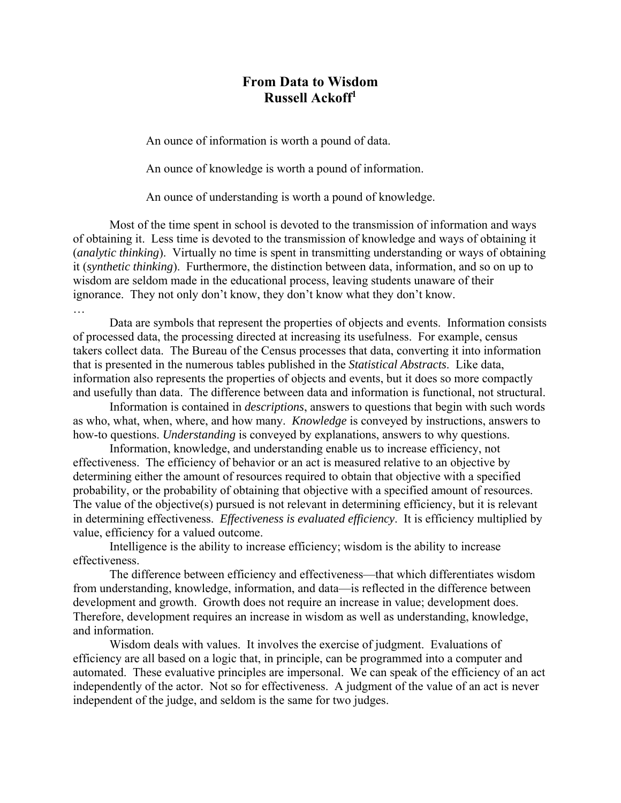## **From Data to Wisdom Russell Ackoff<sup>1</sup>**

An ounce of information is worth a pound of data.

An ounce of knowledge is worth a pound of information.

An ounce of understanding is worth a pound of knowledge.

 Most of the time spent in school is devoted to the transmission of information and ways of obtaining it. Less time is devoted to the transmission of knowledge and ways of obtaining it (*analytic thinking*). Virtually no time is spent in transmitting understanding or ways of obtaining it (*synthetic thinking*). Furthermore, the distinction between data, information, and so on up to wisdom are seldom made in the educational process, leaving students unaware of their ignorance. They not only don't know, they don't know what they don't know.

Data are symbols that represent the properties of objects and events. Information consists of processed data, the processing directed at increasing its usefulness. For example, census takers collect data. The Bureau of the Census processes that data, converting it into information that is presented in the numerous tables published in the *Statistical Abstracts*. Like data, information also represents the properties of objects and events, but it does so more compactly and usefully than data. The difference between data and information is functional, not structural.

Information is contained in *descriptions*, answers to questions that begin with such words as who, what, when, where, and how many. *Knowledge* is conveyed by instructions, answers to how-to questions. *Understanding* is conveyed by explanations, answers to why questions.

Information, knowledge, and understanding enable us to increase efficiency, not effectiveness. The efficiency of behavior or an act is measured relative to an objective by determining either the amount of resources required to obtain that objective with a specified probability, or the probability of obtaining that objective with a specified amount of resources. The value of the objective(s) pursued is not relevant in determining efficiency, but it is relevant in determining effectiveness. *Effectiveness is evaluated efficiency*. It is efficiency multiplied by value, efficiency for a valued outcome.

 Intelligence is the ability to increase efficiency; wisdom is the ability to increase effectiveness.

 The difference between efficiency and effectiveness—that which differentiates wisdom from understanding, knowledge, information, and data—is reflected in the difference between development and growth. Growth does not require an increase in value; development does. Therefore, development requires an increase in wisdom as well as understanding, knowledge, and information.

 Wisdom deals with values. It involves the exercise of judgment. Evaluations of efficiency are all based on a logic that, in principle, can be programmed into a computer and automated. These evaluative principles are impersonal. We can speak of the efficiency of an act independently of the actor. Not so for effectiveness. A judgment of the value of an act is never independent of the judge, and seldom is the same for two judges.